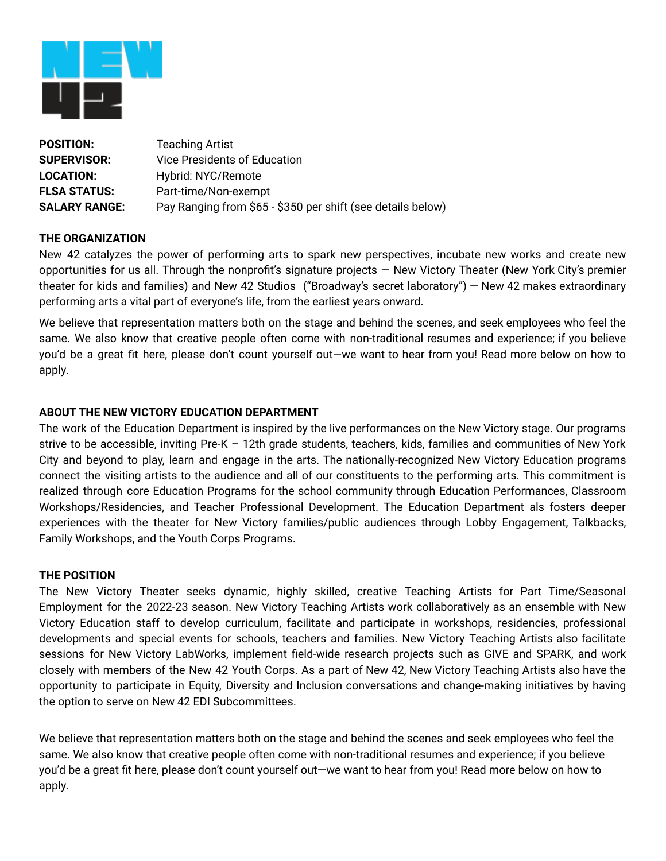

| <b>POSITION:</b>     | <b>Teaching Artist</b>                                      |
|----------------------|-------------------------------------------------------------|
| <b>SUPERVISOR:</b>   | Vice Presidents of Education                                |
| <b>LOCATION:</b>     | Hybrid: NYC/Remote                                          |
| <b>FLSA STATUS:</b>  | Part-time/Non-exempt                                        |
| <b>SALARY RANGE:</b> | Pay Ranging from \$65 - \$350 per shift (see details below) |

### **THE ORGANIZATION**

New 42 catalyzes the power of performing arts to spark new perspectives, incubate new works and create new opportunities for us all. Through the nonprofit's signature projects — New Victory Theater (New York City's premier theater for kids and families) and New 42 Studios ("Broadway's secret laboratory") — New 42 makes extraordinary performing arts a vital part of everyone's life, from the earliest years onward.

We believe that representation matters both on the stage and behind the scenes, and seek employees who feel the same. We also know that creative people often come with non-traditional resumes and experience; if you believe you'd be a great fit here, please don't count yourself out—we want to hear from you! Read more below on how to apply.

### **ABOUT THE NEW VICTORY EDUCATION DEPARTMENT**

The work of the Education Department is inspired by the live performances on the New Victory stage. Our programs strive to be accessible, inviting Pre-K – 12th grade students, teachers, kids, families and communities of New York City and beyond to play, learn and engage in the arts. The nationally-recognized New Victory Education programs connect the visiting artists to the audience and all of our constituents to the performing arts. This commitment is realized through core Education Programs for the school community through Education Performances, Classroom Workshops/Residencies, and Teacher Professional Development. The Education Department als fosters deeper experiences with the theater for New Victory families/public audiences through Lobby Engagement, Talkbacks, Family Workshops, and the Youth Corps Programs.

### **THE POSITION**

The New Victory Theater seeks dynamic, highly skilled, creative Teaching Artists for Part Time/Seasonal Employment for the 2022-23 season. New Victory Teaching Artists work collaboratively as an ensemble with New Victory Education staff to develop curriculum, facilitate and participate in workshops, residencies, professional developments and special events for schools, teachers and families. New Victory Teaching Artists also facilitate sessions for New Victory LabWorks, implement field-wide research projects such as GIVE and SPARK, and work closely with members of the New 42 Youth Corps. As a part of New 42, New Victory Teaching Artists also have the opportunity to participate in Equity, Diversity and Inclusion conversations and change-making initiatives by having the option to serve on New 42 EDI Subcommittees.

We believe that representation matters both on the stage and behind the scenes and seek employees who feel the same. We also know that creative people often come with non-traditional resumes and experience; if you believe you'd be a great fit here, please don't count yourself out—we want to hear from you! Read more below on how to apply.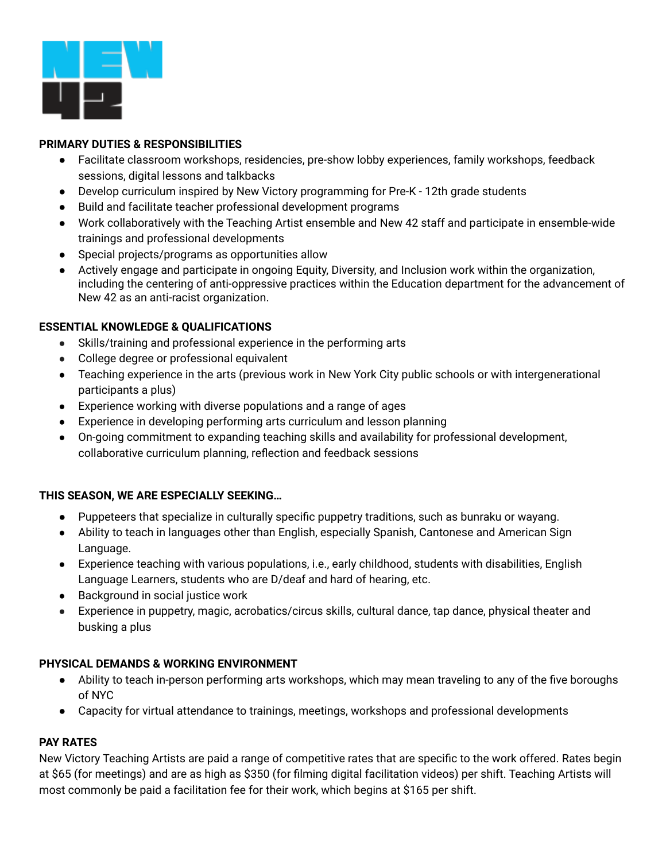

# **PRIMARY DUTIES & RESPONSIBILITIES**

- Facilitate classroom workshops, residencies, pre-show lobby experiences, family workshops, feedback sessions, digital lessons and talkbacks
- Develop curriculum inspired by New Victory programming for Pre-K 12th grade students
- Build and facilitate teacher professional development programs
- Work collaboratively with the Teaching Artist ensemble and New 42 staff and participate in ensemble-wide trainings and professional developments
- Special projects/programs as opportunities allow
- Actively engage and participate in ongoing Equity, Diversity, and Inclusion work within the organization, including the centering of anti-oppressive practices within the Education department for the advancement of New 42 as an anti-racist organization.

## **ESSENTIAL KNOWLEDGE & QUALIFICATIONS**

- Skills/training and professional experience in the performing arts
- College degree or professional equivalent
- Teaching experience in the arts (previous work in New York City public schools or with intergenerational participants a plus)
- Experience working with diverse populations and a range of ages
- Experience in developing performing arts curriculum and lesson planning
- On-going commitment to expanding teaching skills and availability for professional development, collaborative curriculum planning, reflection and feedback sessions

## **THIS SEASON, WE ARE ESPECIALLY SEEKING…**

- Puppeteers that specialize in culturally specific puppetry traditions, such as bunraku or wayang.
- Ability to teach in languages other than English, especially Spanish, Cantonese and American Sign Language.
- Experience teaching with various populations, i.e., early childhood, students with disabilities, English Language Learners, students who are D/deaf and hard of hearing, etc.
- Background in social justice work
- Experience in puppetry, magic, acrobatics/circus skills, cultural dance, tap dance, physical theater and busking a plus

## **PHYSICAL DEMANDS & WORKING ENVIRONMENT**

- Ability to teach in-person performing arts workshops, which may mean traveling to any of the five boroughs of NYC
- Capacity for virtual attendance to trainings, meetings, workshops and professional developments

## **PAY RATES**

New Victory Teaching Artists are paid a range of competitive rates that are specific to the work offered. Rates begin at \$65 (for meetings) and are as high as \$350 (for filming digital facilitation videos) per shift. Teaching Artists will most commonly be paid a facilitation fee for their work, which begins at \$165 per shift.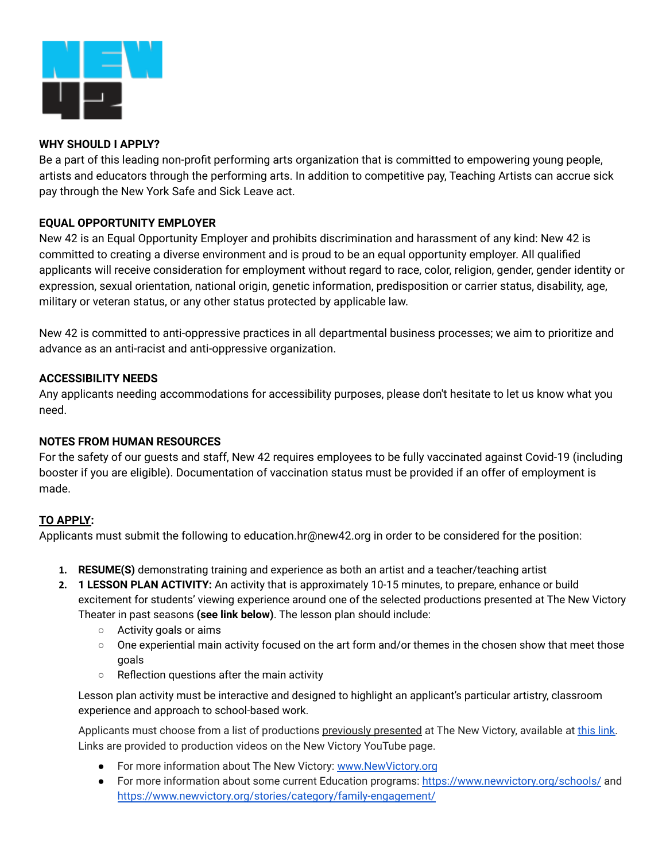

## **WHY SHOULD I APPLY?**

Be a part of this leading non-profit performing arts organization that is committed to empowering young people, artists and educators through the performing arts. In addition to competitive pay, Teaching Artists can accrue sick pay through the New York Safe and Sick Leave act.

# **EQUAL OPPORTUNITY EMPLOYER**

New 42 is an Equal Opportunity Employer and prohibits discrimination and harassment of any kind: New 42 is committed to creating a diverse environment and is proud to be an equal opportunity employer. All qualified applicants will receive consideration for employment without regard to race, color, religion, gender, gender identity or expression, sexual orientation, national origin, genetic information, predisposition or carrier status, disability, age, military or veteran status, or any other status protected by applicable law.

New 42 is committed to anti-oppressive practices in all departmental business processes; we aim to prioritize and advance as an anti-racist and anti-oppressive organization.

## **ACCESSIBILITY NEEDS**

Any applicants needing accommodations for accessibility purposes, please don't hesitate to let us know what you need.

## **NOTES FROM HUMAN RESOURCES**

For the safety of our guests and staff, New 42 requires employees to be fully vaccinated against Covid-19 (including booster if you are eligible). Documentation of vaccination status must be provided if an offer of employment is made.

# **TO APPLY:**

Applicants must submit the following to education.hr@new42.org in order to be considered for the position:

- **1. RESUME(S)** demonstrating training and experience as both an artist and a teacher/teaching artist
- **2. 1 LESSON PLAN ACTIVITY:** An activity that is approximately 10-15 minutes, to prepare, enhance or build excitement for students' viewing experience around one of the selected productions presented at The New Victory Theater in past seasons **(see link below)**. The lesson plan should include:
	- Activity goals or aims
	- One experiential main activity focused on the art form and/or themes in the chosen show that meet those goals
	- Reflection questions after the main activity

Lesson plan activity must be interactive and designed to highlight an applicant's particular artistry, classroom experience and approach to school-based work.

Applicants must choose from a list of productions previously presented at The New Victory, available at [this](https://drive.google.com/file/d/17G4nUC2FqVT7i7tfLzbpb1TKdCp1L3tz/view?usp=sharing) link. Links are provided to production videos on the New Victory YouTube page.

- For more information about The New Victory: [www.NewVictory.org](http://www.newvictory.org)
- For more information about some current Education programs: <https://www.newvictory.org/schools/> and https://www.newvictory.org/stories/category/family-engagement/